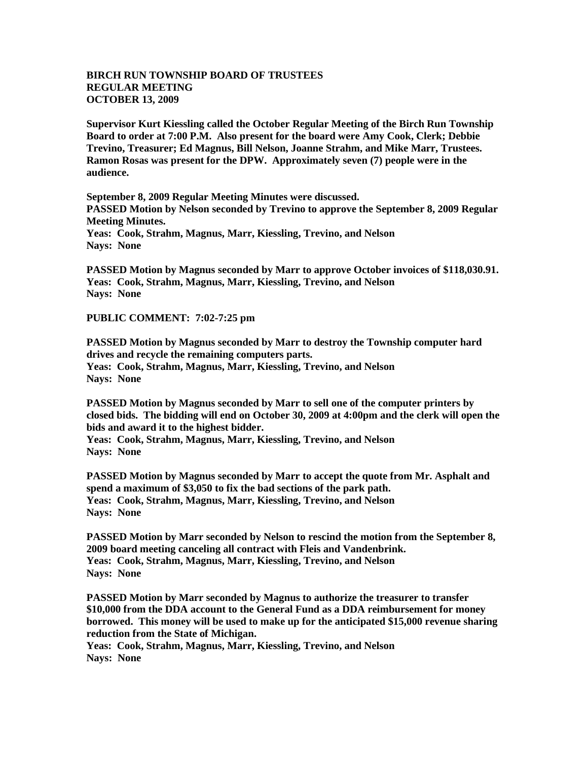## **BIRCH RUN TOWNSHIP BOARD OF TRUSTEES REGULAR MEETING OCTOBER 13, 2009**

**Supervisor Kurt Kiessling called the October Regular Meeting of the Birch Run Township Board to order at 7:00 P.M. Also present for the board were Amy Cook, Clerk; Debbie Trevino, Treasurer; Ed Magnus, Bill Nelson, Joanne Strahm, and Mike Marr, Trustees. Ramon Rosas was present for the DPW. Approximately seven (7) people were in the audience.** 

**September 8, 2009 Regular Meeting Minutes were discussed. PASSED Motion by Nelson seconded by Trevino to approve the September 8, 2009 Regular Meeting Minutes. Yeas: Cook, Strahm, Magnus, Marr, Kiessling, Trevino, and Nelson Nays: None** 

**PASSED Motion by Magnus seconded by Marr to approve October invoices of \$118,030.91. Yeas: Cook, Strahm, Magnus, Marr, Kiessling, Trevino, and Nelson Nays: None**

**PUBLIC COMMENT: 7:02-7:25 pm**

**PASSED Motion by Magnus seconded by Marr to destroy the Township computer hard drives and recycle the remaining computers parts. Yeas: Cook, Strahm, Magnus, Marr, Kiessling, Trevino, and Nelson Nays: None**

**PASSED Motion by Magnus seconded by Marr to sell one of the computer printers by closed bids. The bidding will end on October 30, 2009 at 4:00pm and the clerk will open the bids and award it to the highest bidder.**

**Yeas: Cook, Strahm, Magnus, Marr, Kiessling, Trevino, and Nelson Nays: None**

**PASSED Motion by Magnus seconded by Marr to accept the quote from Mr. Asphalt and spend a maximum of \$3,050 to fix the bad sections of the park path. Yeas: Cook, Strahm, Magnus, Marr, Kiessling, Trevino, and Nelson Nays: None**

**PASSED Motion by Marr seconded by Nelson to rescind the motion from the September 8, 2009 board meeting canceling all contract with Fleis and Vandenbrink. Yeas: Cook, Strahm, Magnus, Marr, Kiessling, Trevino, and Nelson Nays: None**

**PASSED Motion by Marr seconded by Magnus to authorize the treasurer to transfer \$10,000 from the DDA account to the General Fund as a DDA reimbursement for money borrowed. This money will be used to make up for the anticipated \$15,000 revenue sharing reduction from the State of Michigan.** 

**Yeas: Cook, Strahm, Magnus, Marr, Kiessling, Trevino, and Nelson Nays: None**